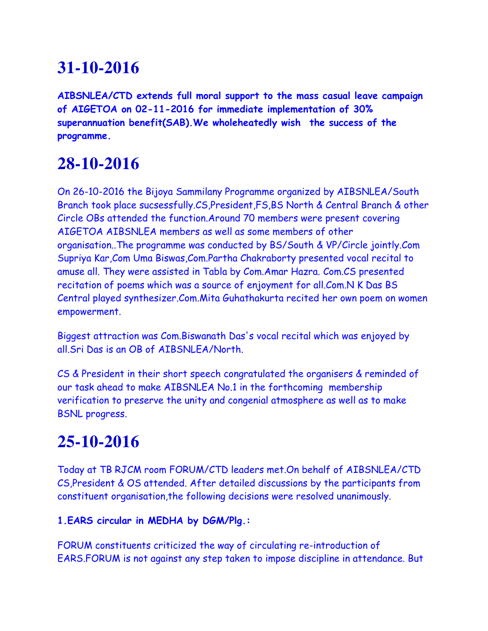# **31-10-2016**

**AIBSNLEA/CTD extends full moral support to the mass casual leave campaign of AIGETOA on 02-11-2016 for immediate implementation of 30% superannuation benefit(SAB).We wholeheatedly wish the success of the programme.**

### **28-10-2016**

On 26-10-2016 the Bijoya Sammilany Programme organized by AIBSNLEA/South Branch took place sucsessfully.CS,President,FS,BS North & Central Branch & other Circle OBs attended the function.Around 70 members were present covering AIGETOA AIBSNLEA members as well as some members of other organisation..The programme was conducted by BS/South & VP/Circle jointly.Com Supriya Kar,Com Uma Biswas,Com.Partha Chakraborty presented vocal recital to amuse all. They were assisted in Tabla by Com.Amar Hazra. Com.CS presented recitation of poems which was a source of enjoyment for all.Com.N K Das BS Central played synthesizer.Com.Mita Guhathakurta recited her own poem on women empowerment.

Biggest attraction was Com.Biswanath Das's vocal recital which was enjoyed by all.Sri Das is an OB of AIBSNLEA/North.

CS & President in their short speech congratulated the organisers & reminded of our task ahead to make AIBSNLEA No.1 in the forthcoming membership verification to preserve the unity and congenial atmosphere as well as to make BSNL progress.

# **25-10-2016**

Today at TB RJCM room FORUM/CTD leaders met.On behalf of AIBSNLEA/CTD CS,President & OS attended. After detailed discussions by the participants from constituent organisation,the following decisions were resolved unanimously.

#### **1.EARS circular in MEDHA by DGM/Plg.:**

FORUM constituents criticized the way of circulating re-introduction of EARS.FORUM is not against any step taken to impose discipline in attendance. But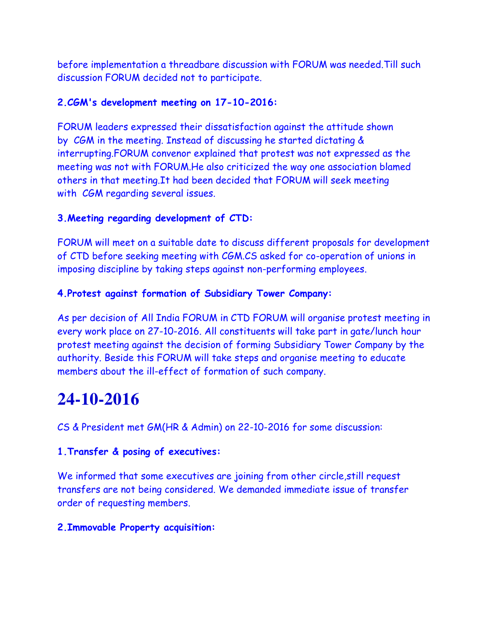before implementation a threadbare discussion with FORUM was needed.Till such discussion FORUM decided not to participate.

#### **2.CGM's development meeting on 17-10-2016:**

FORUM leaders expressed their dissatisfaction against the attitude shown by CGM in the meeting. Instead of discussing he started dictating & interrupting.FORUM convenor explained that protest was not expressed as the meeting was not with FORUM.He also criticized the way one association blamed others in that meeting.It had been decided that FORUM will seek meeting with CGM regarding several issues.

#### **3.Meeting regarding development of CTD:**

FORUM will meet on a suitable date to discuss different proposals for development of CTD before seeking meeting with CGM.CS asked for co-operation of unions in imposing discipline by taking steps against non-performing employees.

#### **4.Protest against formation of Subsidiary Tower Company:**

As per decision of All India FORUM in CTD FORUM will organise protest meeting in every work place on 27-10-2016. All constituents will take part in gate/lunch hour protest meeting against the decision of forming Subsidiary Tower Company by the authority. Beside this FORUM will take steps and organise meeting to educate members about the ill-effect of formation of such company.

### **24-10-2016**

CS & President met GM(HR & Admin) on 22-10-2016 for some discussion:

#### **1.Transfer & posing of executives:**

We informed that some executives are joining from other circle, still request transfers are not being considered. We demanded immediate issue of transfer order of requesting members.

#### **2.Immovable Property acquisition:**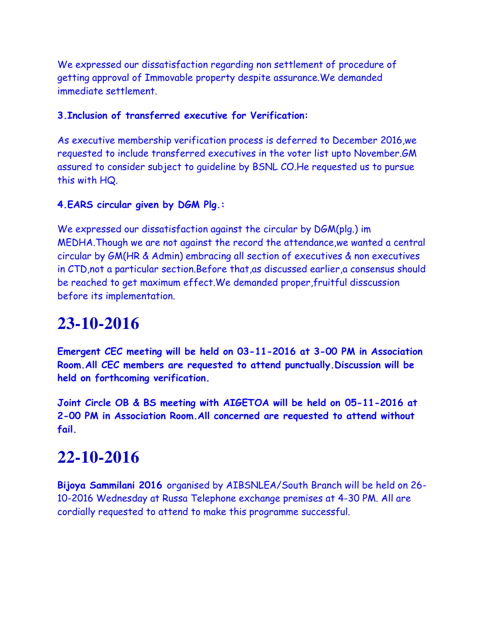We expressed our dissatisfaction regarding non settlement of procedure of getting approval of Immovable property despite assurance.We demanded immediate settlement.

#### **3.Inclusion of transferred executive for Verification:**

As executive membership verification process is deferred to December 2016,we requested to include transferred executives in the voter list upto November.GM assured to consider subject to guideline by BSNL CO.He requested us to pursue this with HQ.

#### **4.EARS circular given by DGM Plg.:**

We expressed our dissatisfaction against the circular by DGM(plg.) im MEDHA.Though we are not against the record the attendance,we wanted a central circular by GM(HR & Admin) embracing all section of executives & non executives in CTD,not a particular section.Before that,as discussed earlier,a consensus should be reached to get maximum effect.We demanded proper,fruitful disscussion before its implementation.

### **23-10-2016**

**Emergent CEC meeting will be held on 03-11-2016 at 3-00 PM in Association Room.All CEC members are requested to attend punctually.Discussion will be held on forthcoming verification.**

**Joint Circle OB & BS meeting with AIGETOA will be held on 05-11-2016 at 2-00 PM in Association Room.All concerned are requested to attend without fail.**

### **22-10-2016**

**Bijoya Sammilani 2016** organised by AIBSNLEA/South Branch will be held on 26- 10-2016 Wednesday at Russa Telephone exchange premises at 4-30 PM. All are cordially requested to attend to make this programme successful.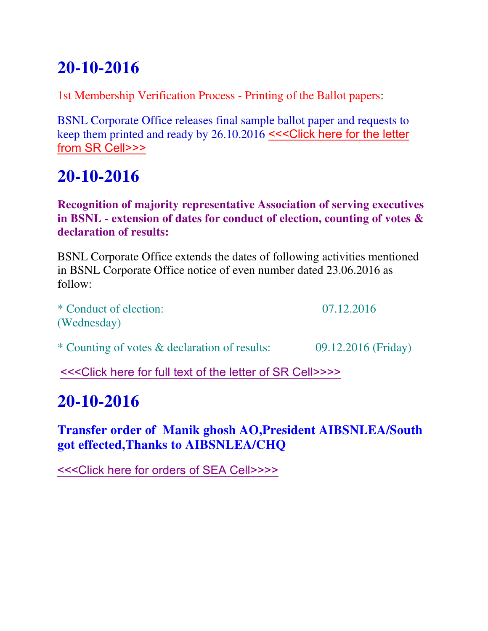# **20-10-2016**

1st Membership Verification Process - Printing of the Ballot papers:

BSNL Corporate Office releases final sample ballot paper and requests to keep them printed and ready by 26.10.2016 <<<Click here for the letter [from SR Cell>>>](http://www.aibsnleachq.in/1EMV19X16.pdf)

# **20-10-2016**

**Recognition of majority representative Association of serving executives in BSNL - extension of dates for conduct of election, counting of votes & declaration of results:**

BSNL Corporate Office extends the dates of following activities mentioned in BSNL Corporate Office notice of even number dated 23.06.2016 as follow:

\* Conduct of election: 07.12.2016 (Wednesday)

\* Counting of votes & declaration of results: 09.12.2016 (Friday)

[<<<Click here for full text of the letter of SR Cell>>>>](http://www.aibsnleachq.in/New%20Doc%2041.pdf)

### **20-10-2016**

**Transfer order of Manik ghosh AO,President AIBSNLEA/South got effected,Thanks to AIBSNLEA/CHQ**

[<<<Click here for orders of SEA Cell>>>>](http://www.aibsnleachq.in/Transfer%202014-15_18102016.pdf)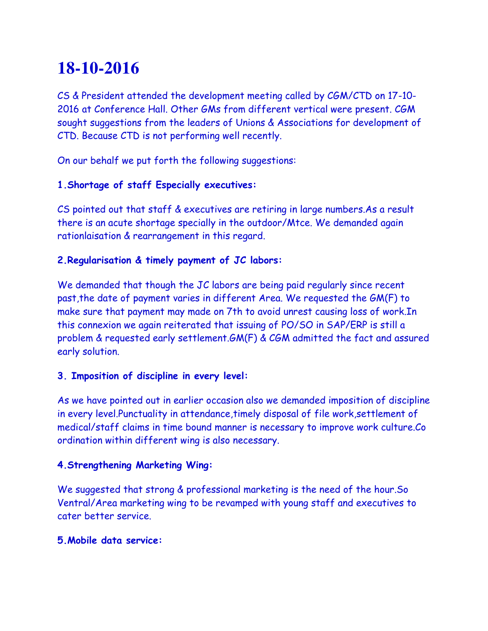### **18-10-2016**

CS & President attended the development meeting called by CGM/CTD on 17-10- 2016 at Conference Hall. Other GMs from different vertical were present. CGM sought suggestions from the leaders of Unions & Associations for development of CTD. Because CTD is not performing well recently.

On our behalf we put forth the following suggestions:

#### **1.Shortage of staff Especially executives:**

CS pointed out that staff & executives are retiring in large numbers.As a result there is an acute shortage specially in the outdoor/Mtce. We demanded again rationlaisation & rearrangement in this regard.

#### **2.Regularisation & timely payment of JC labors:**

We demanded that though the JC labors are being paid regularly since recent past,the date of payment varies in different Area. We requested the GM(F) to make sure that payment may made on 7th to avoid unrest causing loss of work.In this connexion we again reiterated that issuing of PO/SO in SAP/ERP is still a problem & requested early settlement.GM(F) & CGM admitted the fact and assured early solution.

#### **3. Imposition of discipline in every level:**

As we have pointed out in earlier occasion also we demanded imposition of discipline in every level.Punctuality in attendance,timely disposal of file work,settlement of medical/staff claims in time bound manner is necessary to improve work culture.Co ordination within different wing is also necessary.

#### **4.Strengthening Marketing Wing:**

We suggested that strong & professional marketing is the need of the hour.So Ventral/Area marketing wing to be revamped with young staff and executives to cater better service.

#### **5.Mobile data service:**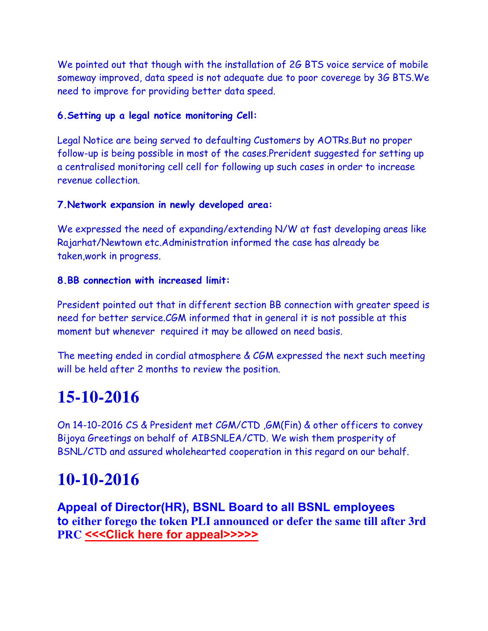We pointed out that though with the installation of 2G BTS voice service of mobile someway improved, data speed is not adequate due to poor coverege by 3G BTS.We need to improve for providing better data speed.

#### **6.Setting up a legal notice monitoring Cell:**

Legal Notice are being served to defaulting Customers by AOTRs.But no proper follow-up is being possible in most of the cases.Prerident suggested for setting up a centralised monitoring cell cell for following up such cases in order to increase revenue collection.

#### **7.Network expansion in newly developed area:**

We expressed the need of expanding/extending N/W at fast developing areas like Rajarhat/Newtown etc.Administration informed the case has already be taken,work in progress.

#### **8.BB connection with increased limit:**

President pointed out that in different section BB connection with greater speed is need for better service.CGM informed that in general it is not possible at this moment but whenever required it may be allowed on need basis.

The meeting ended in cordial atmosphere & CGM expressed the next such meeting will be held after 2 months to review the position.

### **15-10-2016**

On 14-10-2016 CS & President met CGM/CTD ,GM(Fin) & other officers to convey Bijoya Greetings on behalf of AIBSNLEA/CTD. We wish them prosperity of BSNL/CTD and assured wholehearted cooperation in this regard on our behalf.

### **10-10-2016**

**Appeal of Director(HR), BSNL Board to all BSNL employees to either forego the token PLI announced or defer the same till after 3rd PRC [<<<Click here for appeal>>>>>](http://www.aibsnleachq.in/Grant%20of%20PLI%20to%20BSNL%20Employees1.PDF)**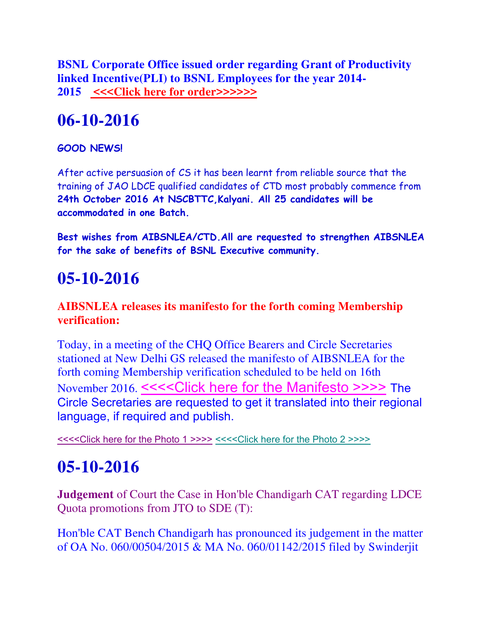**BSNL Corporate Office issued order regarding Grant of Productivity linked Incentive(PLI) to BSNL Employees for the year 2014- 2015 [<<<Click here for order>>>>>>](http://www.aibsnleachq.in/Grant%20of%20PLI%20to%20BSNL%20Employees.PDF)**

### **06-10-2016**

#### **GOOD NEWS!**

After active persuasion of CS it has been learnt from reliable source that the training of JAO LDCE qualified candidates of CTD most probably commence from **24th October 2016 At NSCBTTC,Kalyani. All 25 candidates will be accommodated in one Batch.**

**Best wishes from AIBSNLEA/CTD.All are requested to strengthen AIBSNLEA for the sake of benefits of BSNL Executive community.**

### **05-10-2016**

#### **AIBSNLEA releases its manifesto for the forth coming Membership verification:**

Today, in a meeting of the CHQ Office Bearers and Circle Secretaries stationed at New Delhi GS released the manifesto of AIBSNLEA for the forth coming Membership verification scheduled to be held on 16th November 2016. [<<<<Click here for the Manifesto >>>>](http://www.aibsnleachq.in/Manifesto_161005.pdf) The Circle Secretaries are requested to get it translated into their regional language, if required and publish.

[<<<<Click here for the Photo 1 >>>>](http://www.aibsnleachq.in/20161005_163207.jpg) [<<<<Click here for the Photo 2 >>>>](http://www.aibsnleachq.in/20161005_163239.jpg)

### **05-10-2016**

**Judgement** of Court the Case in Hon'ble Chandigarh CAT regarding LDCE Quota promotions from JTO to SDE (T):

Hon'ble CAT Bench Chandigarh has pronounced its judgement in the matter of OA No. 060/00504/2015 & MA No. 060/01142/2015 filed by Swinderjit